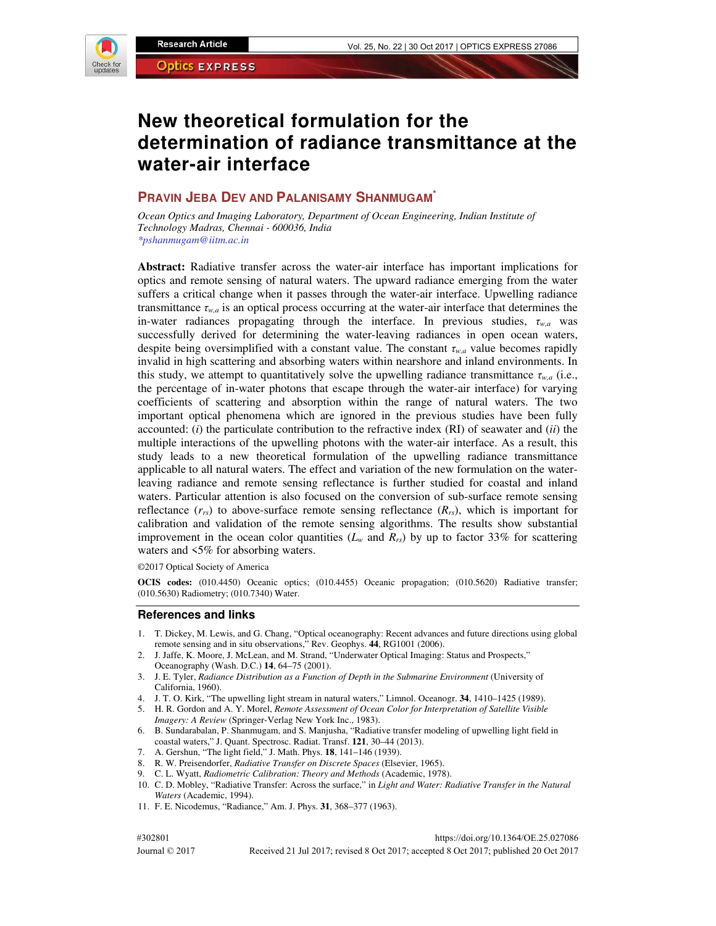

# **New theoretical formulation for the determination of radiance transmittance at the water-air interface**

## **PRAVIN JEBA DEV AND PALANISAMY SHANMUGAM\***

*Ocean Optics and Imaging Laboratory, Department of Ocean Engineering, Indian Institute of Technology Madras, Chennai - 600036, India \*pshanmugam@iitm.ac.in* 

**Abstract:** Radiative transfer across the water-air interface has important implications for optics and remote sensing of natural waters. The upward radiance emerging from the water suffers a critical change when it passes through the water-air interface. Upwelling radiance transmittance  $\tau_{w,q}$  is an optical process occurring at the water-air interface that determines the in-water radiances propagating through the interface. In previous studies, *τw,a* was successfully derived for determining the water-leaving radiances in open ocean waters, despite being oversimplified with a constant value. The constant *τw,a* value becomes rapidly invalid in high scattering and absorbing waters within nearshore and inland environments. In this study, we attempt to quantitatively solve the upwelling radiance transmittance  $\tau_{w,a}$  (i.e., the percentage of in-water photons that escape through the water-air interface) for varying coefficients of scattering and absorption within the range of natural waters. The two important optical phenomena which are ignored in the previous studies have been fully accounted: (*i*) the particulate contribution to the refractive index (RI) of seawater and (*ii*) the multiple interactions of the upwelling photons with the water-air interface. As a result, this study leads to a new theoretical formulation of the upwelling radiance transmittance applicable to all natural waters. The effect and variation of the new formulation on the waterleaving radiance and remote sensing reflectance is further studied for coastal and inland waters. Particular attention is also focused on the conversion of sub-surface remote sensing reflectance  $(r_{rs})$  to above-surface remote sensing reflectance  $(R_{rs})$ , which is important for calibration and validation of the remote sensing algorithms. The results show substantial improvement in the ocean color quantities ( $L<sub>w</sub>$  and  $R<sub>rs</sub>$ ) by up to factor 33% for scattering waters and <5% for absorbing waters.

©2017 Optical Society of America

**OCIS codes:** (010.4450) Oceanic optics; (010.4455) Oceanic propagation; (010.5620) Radiative transfer; (010.5630) Radiometry; (010.7340) Water.

#### **References and links**

- 1. T. Dickey, M. Lewis, and G. Chang, "Optical oceanography: Recent advances and future directions using global remote sensing and in situ observations," Rev. Geophys. **44**, RG1001 (2006).
- 2. J. Jaffe, K. Moore, J. McLean, and M. Strand, "Underwater Optical Imaging: Status and Prospects," Oceanography (Wash. D.C.) **14**, 64–75 (2001).
- 3. J. E. Tyler, *Radiance Distribution as a Function of Depth in the Submarine Environment* (University of California, 1960).
- 4. J. T. O. Kirk, "The upwelling light stream in natural waters," Limnol. Oceanogr. **34**, 1410–1425 (1989).
- 5. H. R. Gordon and A. Y. Morel, *Remote Assessment of Ocean Color for Interpretation of Satellite Visible Imagery: A Review* (Springer-Verlag New York Inc., 1983).
- 6. B. Sundarabalan, P. Shanmugam, and S. Manjusha, "Radiative transfer modeling of upwelling light field in coastal waters," J. Quant. Spectrosc. Radiat. Transf. **121**, 30–44 (2013).
- 7. A. Gershun, "The light field," J. Math. Phys. **18**, 141–146 (1939).
- 8. R. W. Preisendorfer, *Radiative Transfer on Discrete Spaces* (Elsevier, 1965).
- 9. C. L. Wyatt, *Radiometric Calibration: Theory and Methods* (Academic, 1978).
- 10. C. D. Mobley, "Radiative Transfer: Across the surface," in *Light and Water: Radiative Transfer in the Natural Waters* (Academic, 1994).
- 11. F. E. Nicodemus, "Radiance," Am. J. Phys. **31**, 368–377 (1963).

#302801 https://doi.org/10.1364/OE.25.027086

Journal © 2017 Received 21 Jul 2017; revised 8 Oct 2017; accepted 8 Oct 2017; published 20 Oct 2017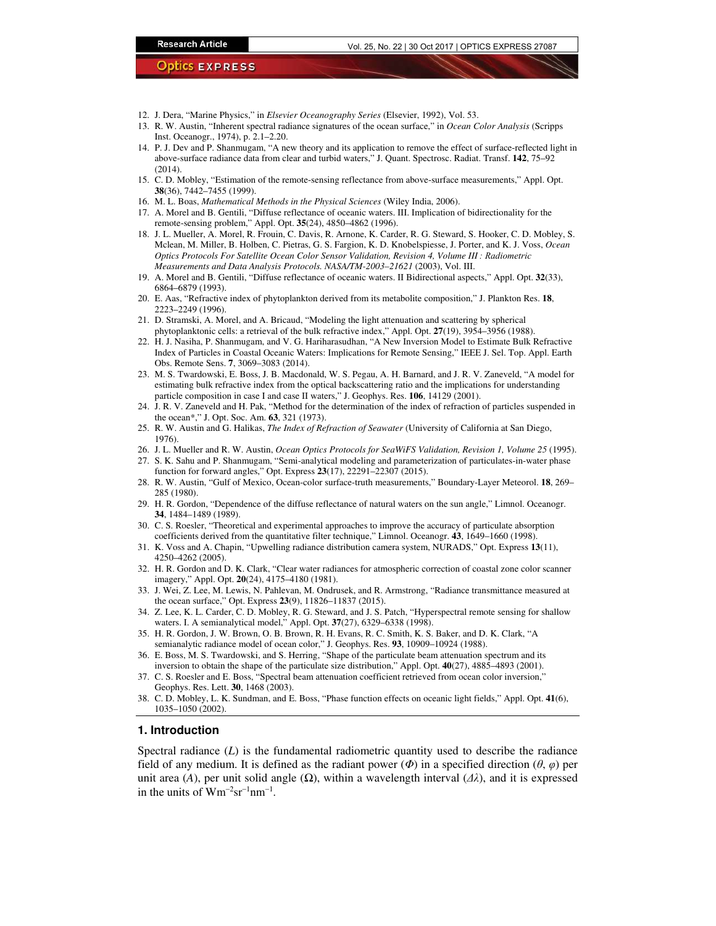- 12. J. Dera, "Marine Physics," in *Elsevier Oceanography Series* (Elsevier, 1992), Vol. 53.
- 13. R. W. Austin, "Inherent spectral radiance signatures of the ocean surface," in *Ocean Color Analysis* (Scripps Inst. Oceanogr., 1974), p. 2.1–2.20.
- 14. P. J. Dev and P. Shanmugam, "A new theory and its application to remove the effect of surface-reflected light in above-surface radiance data from clear and turbid waters," J. Quant. Spectrosc. Radiat. Transf. **142**, 75–92 (2014).
- 15. C. D. Mobley, "Estimation of the remote-sensing reflectance from above-surface measurements," Appl. Opt. **38**(36), 7442–7455 (1999).
- 16. M. L. Boas, *Mathematical Methods in the Physical Sciences* (Wiley India, 2006).
- 17. A. Morel and B. Gentili, "Diffuse reflectance of oceanic waters. III. Implication of bidirectionality for the remote-sensing problem," Appl. Opt. **35**(24), 4850–4862 (1996).
- 18. J. L. Mueller, A. Morel, R. Frouin, C. Davis, R. Arnone, K. Carder, R. G. Steward, S. Hooker, C. D. Mobley, S. Mclean, M. Miller, B. Holben, C. Pietras, G. S. Fargion, K. D. Knobelspiesse, J. Porter, and K. J. Voss, *Ocean Optics Protocols For Satellite Ocean Color Sensor Validation, Revision 4, Volume III : Radiometric Measurements and Data Analysis Protocols. NASA/TM-2003–21621* (2003), Vol. III.
- 19. A. Morel and B. Gentili, "Diffuse reflectance of oceanic waters. II Bidirectional aspects," Appl. Opt. **32**(33), 6864–6879 (1993).
- 20. E. Aas, "Refractive index of phytoplankton derived from its metabolite composition," J. Plankton Res. **18**, 2223–2249 (1996).
- 21. D. Stramski, A. Morel, and A. Bricaud, "Modeling the light attenuation and scattering by spherical phytoplanktonic cells: a retrieval of the bulk refractive index," Appl. Opt. **27**(19), 3954–3956 (1988).
- 22. H. J. Nasiha, P. Shanmugam, and V. G. Hariharasudhan, "A New Inversion Model to Estimate Bulk Refractive Index of Particles in Coastal Oceanic Waters: Implications for Remote Sensing," IEEE J. Sel. Top. Appl. Earth Obs. Remote Sens. **7**, 3069–3083 (2014).
- 23. M. S. Twardowski, E. Boss, J. B. Macdonald, W. S. Pegau, A. H. Barnard, and J. R. V. Zaneveld, "A model for estimating bulk refractive index from the optical backscattering ratio and the implications for understanding particle composition in case I and case II waters," J. Geophys. Res. **106**, 14129 (2001).
- 24. J. R. V. Zaneveld and H. Pak, "Method for the determination of the index of refraction of particles suspended in the ocean\*," J. Opt. Soc. Am. **63**, 321 (1973).
- 25. R. W. Austin and G. Halikas, *The Index of Refraction of Seawater* (University of California at San Diego, 1976).
- 26. J. L. Mueller and R. W. Austin, *Ocean Optics Protocols for SeaWiFS Validation, Revision 1, Volume 25* (1995).

27. S. K. Sahu and P. Shanmugam, "Semi-analytical modeling and parameterization of particulates-in-water phase function for forward angles," Opt. Express **23**(17), 22291–22307 (2015).

- 28. R. W. Austin, "Gulf of Mexico, Ocean-color surface-truth measurements," Boundary-Layer Meteorol. **18**, 269– 285 (1980).
- 29. H. R. Gordon, "Dependence of the diffuse reflectance of natural waters on the sun angle," Limnol. Oceanogr. **34**, 1484–1489 (1989).
- 30. C. S. Roesler, "Theoretical and experimental approaches to improve the accuracy of particulate absorption coefficients derived from the quantitative filter technique," Limnol. Oceanogr. **43**, 1649–1660 (1998).
- 31. K. Voss and A. Chapin, "Upwelling radiance distribution camera system, NURADS," Opt. Express **13**(11), 4250–4262 (2005).
- 32. H. R. Gordon and D. K. Clark, "Clear water radiances for atmospheric correction of coastal zone color scanner imagery," Appl. Opt. **20**(24), 4175–4180 (1981).
- 33. J. Wei, Z. Lee, M. Lewis, N. Pahlevan, M. Ondrusek, and R. Armstrong, "Radiance transmittance measured at the ocean surface," Opt. Express **23**(9), 11826–11837 (2015).
- 34. Z. Lee, K. L. Carder, C. D. Mobley, R. G. Steward, and J. S. Patch, "Hyperspectral remote sensing for shallow waters. I. A semianalytical model," Appl. Opt. **37**(27), 6329–6338 (1998).
- 35. H. R. Gordon, J. W. Brown, O. B. Brown, R. H. Evans, R. C. Smith, K. S. Baker, and D. K. Clark, "A semianalytic radiance model of ocean color," J. Geophys. Res. **93**, 10909–10924 (1988).
- 36. E. Boss, M. S. Twardowski, and S. Herring, "Shape of the particulate beam attenuation spectrum and its inversion to obtain the shape of the particulate size distribution," Appl. Opt. **40**(27), 4885–4893 (2001).
- 37. C. S. Roesler and E. Boss, "Spectral beam attenuation coefficient retrieved from ocean color inversion," Geophys. Res. Lett. **30**, 1468 (2003).
- 38. C. D. Mobley, L. K. Sundman, and E. Boss, "Phase function effects on oceanic light fields," Appl. Opt. **41**(6), 1035–1050 (2002).

## **1. Introduction**

Spectral radiance (*L*) is the fundamental radiometric quantity used to describe the radiance field of any medium. It is defined as the radiant power  $(\Phi)$  in a specified direction  $(\theta, \varphi)$  per unit area (*A*), per unit solid angle ( $\Omega$ ), within a wavelength interval ( $\Delta\lambda$ ), and it is expressed in the units of  $Wm^{-2}sr^{-1}nm^{-1}$ .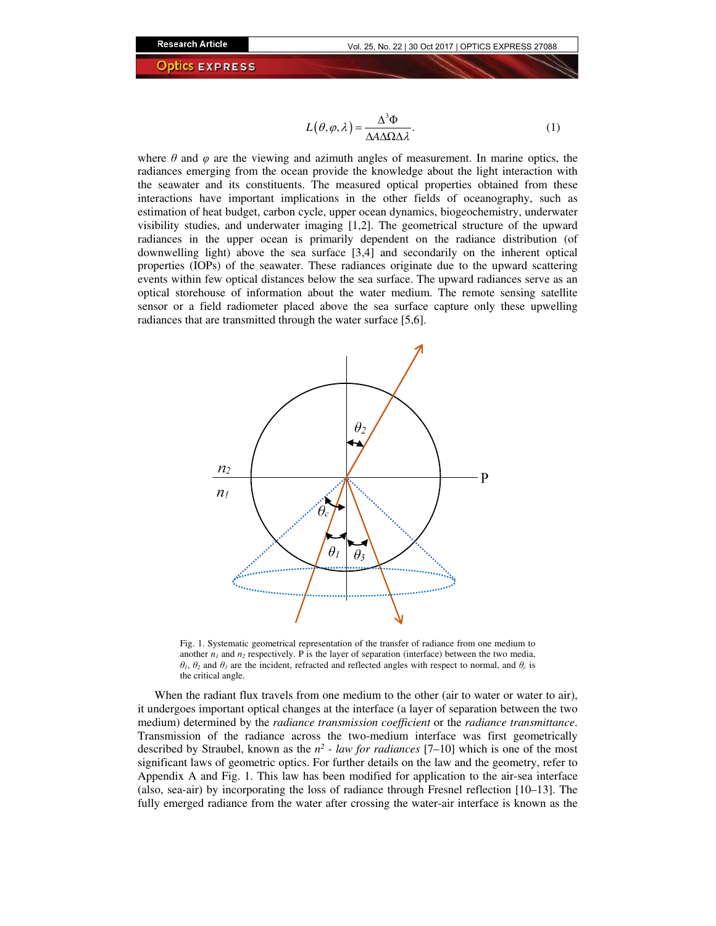$$
L(\theta, \varphi, \lambda) = \frac{\Delta^3 \Phi}{\Delta A \Delta \Omega \Delta \lambda}.
$$
 (1)

where  $\theta$  and  $\varphi$  are the viewing and azimuth angles of measurement. In marine optics, the radiances emerging from the ocean provide the knowledge about the light interaction with the seawater and its constituents. The measured optical properties obtained from these interactions have important implications in the other fields of oceanography, such as estimation of heat budget, carbon cycle, upper ocean dynamics, biogeochemistry, underwater visibility studies, and underwater imaging [1,2]. The geometrical structure of the upward radiances in the upper ocean is primarily dependent on the radiance distribution (of downwelling light) above the sea surface [3,4] and secondarily on the inherent optical properties (IOPs) of the seawater. These radiances originate due to the upward scattering events within few optical distances below the sea surface. The upward radiances serve as an optical storehouse of information about the water medium. The remote sensing satellite sensor or a field radiometer placed above the sea surface capture only these upwelling radiances that are transmitted through the water surface [5,6].



Fig. 1. Systematic geometrical representation of the transfer of radiance from one medium to another  $n_1$  and  $n_2$  respectively. P is the layer of separation (interface) between the two media, *θ1*, *θ<sup>2</sup>* and *θ<sup>3</sup>* are the incident, refracted and reflected angles with respect to normal, and *θc* is the critical angle.

When the radiant flux travels from one medium to the other (air to water or water to air), it undergoes important optical changes at the interface (a layer of separation between the two medium) determined by the *radiance transmission coefficient* or the *radiance transmittance*. Transmission of the radiance across the two-medium interface was first geometrically described by Straubel, known as the  $n^2$  *- law for radiances* [7–10] which is one of the most significant laws of geometric optics. For further details on the law and the geometry, refer to Appendix A and Fig. 1. This law has been modified for application to the air-sea interface (also, sea-air) by incorporating the loss of radiance through Fresnel reflection [10–13]. The fully emerged radiance from the water after crossing the water-air interface is known as the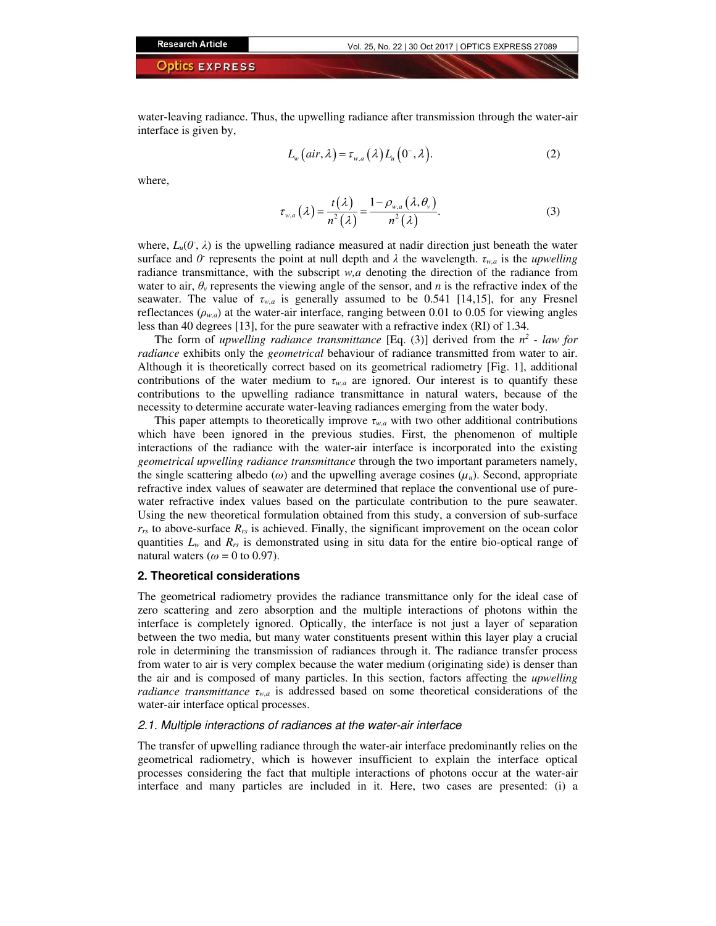water-leaving radiance. Thus, the upwelling radiance after transmission through the water-air interface is given by,

$$
L_w\left-air,\lambda\right) = \tau_{w,a}\left(\lambda\right)L_u\left(0^-, \lambda\right). \tag{2}
$$

where,

$$
\tau_{w,a}\left(\lambda\right) = \frac{t\left(\lambda\right)}{n^2\left(\lambda\right)} = \frac{1 - \rho_{w,a}\left(\lambda, \theta_v\right)}{n^2\left(\lambda\right)}.\tag{3}
$$

where,  $L_u(0, \lambda)$  is the upwelling radiance measured at nadir direction just beneath the water surface and  $\hat{U}$  represents the point at null depth and  $\lambda$  the wavelength.  $\tau_{w,a}$  is the *upwelling* radiance transmittance, with the subscript *w,a* denoting the direction of the radiance from water to air,  $\theta$ <sup>*v*</sup> represents the viewing angle of the sensor, and *n* is the refractive index of the seawater. The value of *τw,a* is generally assumed to be 0.541 [14,15], for any Fresnel reflectances ( $\rho_{w,a}$ ) at the water-air interface, ranging between 0.01 to 0.05 for viewing angles less than 40 degrees [13], for the pure seawater with a refractive index (RI) of 1.34.

The form of *upwelling radiance transmittance* [Eq. (3)] derived from the  $n^2$  - law for *radiance* exhibits only the *geometrical* behaviour of radiance transmitted from water to air. Although it is theoretically correct based on its geometrical radiometry [Fig. 1], additional contributions of the water medium to  $\tau_{w,a}$  are ignored. Our interest is to quantify these contributions to the upwelling radiance transmittance in natural waters, because of the necessity to determine accurate water-leaving radiances emerging from the water body.

This paper attempts to theoretically improve  $\tau_{w,a}$  with two other additional contributions which have been ignored in the previous studies. First, the phenomenon of multiple interactions of the radiance with the water-air interface is incorporated into the existing *geometrical upwelling radiance transmittance* through the two important parameters namely, the single scattering albedo ( $\omega$ ) and the upwelling average cosines ( $\mu_u$ ). Second, appropriate refractive index values of seawater are determined that replace the conventional use of purewater refractive index values based on the particulate contribution to the pure seawater. Using the new theoretical formulation obtained from this study, a conversion of sub-surface *rrs* to above-surface *Rrs* is achieved. Finally, the significant improvement on the ocean color quantities  $L_w$  and  $R_{rs}$  is demonstrated using in situ data for the entire bio-optical range of natural waters ( $\omega = 0$  to 0.97).

## **2. Theoretical considerations**

The geometrical radiometry provides the radiance transmittance only for the ideal case of zero scattering and zero absorption and the multiple interactions of photons within the interface is completely ignored. Optically, the interface is not just a layer of separation between the two media, but many water constituents present within this layer play a crucial role in determining the transmission of radiances through it. The radiance transfer process from water to air is very complex because the water medium (originating side) is denser than the air and is composed of many particles. In this section, factors affecting the *upwelling radiance transmittance*  $\tau_{w,a}$  is addressed based on some theoretical considerations of the water-air interface optical processes.

## 2.1. Multiple interactions of radiances at the water-air interface

The transfer of upwelling radiance through the water-air interface predominantly relies on the geometrical radiometry, which is however insufficient to explain the interface optical processes considering the fact that multiple interactions of photons occur at the water-air interface and many particles are included in it. Here, two cases are presented: (i) a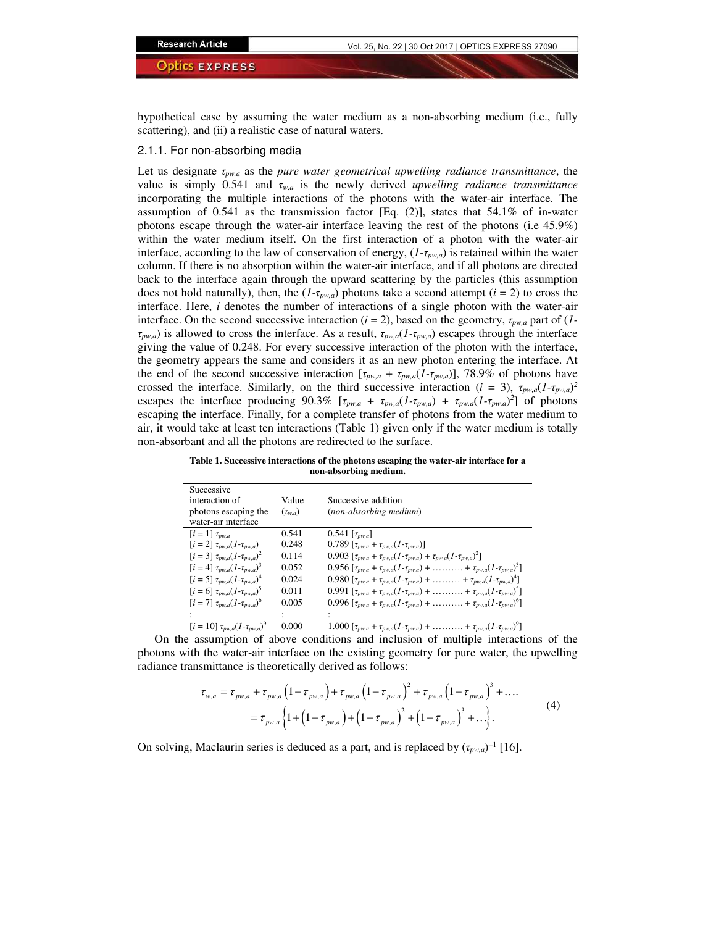hypothetical case by assuming the water medium as a non-absorbing medium (i.e., fully scattering), and (ii) a realistic case of natural waters.

#### 2.1.1. For non-absorbing media

Let us designate *τpw,a* as the *pure water geometrical upwelling radiance transmittance*, the value is simply 0.541 and *τw,a* is the newly derived *upwelling radiance transmittance* incorporating the multiple interactions of the photons with the water-air interface. The assumption of  $0.541$  as the transmission factor [Eq. (2)], states that  $54.1\%$  of in-water photons escape through the water-air interface leaving the rest of the photons (i.e 45.9%) within the water medium itself. On the first interaction of a photon with the water-air interface, according to the law of conservation of energy, (*1-τpw,a*) is retained within the water column. If there is no absorption within the water-air interface, and if all photons are directed back to the interface again through the upward scattering by the particles (this assumption does not hold naturally), then, the  $(I-\tau_{p w,a})$  photons take a second attempt  $(i = 2)$  to cross the interface. Here, *i* denotes the number of interactions of a single photon with the water-air interface. On the second successive interaction  $(i = 2)$ , based on the geometry,  $\tau_{\text{pyc},a}$  part of  $(i$ *τpw,a*) is allowed to cross the interface. As a result, *τpw,a*(*1-τpw,a*) escapes through the interface giving the value of 0.248. For every successive interaction of the photon with the interface, the geometry appears the same and considers it as an new photon entering the interface. At the end of the second successive interaction  $[\tau_{pw,a} + \tau_{pw,a}(1-\tau_{pw,a})]$ , 78.9% of photons have crossed the interface. Similarly, on the third successive interaction ( $i = 3$ ),  $\tau_{pw,a}(1-\tau_{pw,a})^2$ escapes the interface producing 90.3%  $[\tau_{pw,a} + \tau_{pw,a}(1-\tau_{pw,a}) + \tau_{pw,a}(1-\tau_{pw,a})^2]$  of photons escaping the interface. Finally, for a complete transfer of photons from the water medium to air, it would take at least ten interactions (Table 1) given only if the water medium is totally non-absorbant and all the photons are redirected to the surface.

**Table 1. Successive interactions of the photons escaping the water-air interface for a non-absorbing medium.**

| Successive                                              |                |                                                                                                                               |
|---------------------------------------------------------|----------------|-------------------------------------------------------------------------------------------------------------------------------|
| interaction of                                          | Value          | Successive addition                                                                                                           |
| photons escaping the                                    | $(\tau_{w,a})$ | (non-absorbing medium)                                                                                                        |
| water-air interface                                     |                |                                                                                                                               |
| $[i = 1] \tau_{\text{pw},a}$                            | 0.541          | $0.541$ [ $\tau_{pw,a}$ ]                                                                                                     |
| $[i=2] \tau_{\text{pw},a}(1-\tau_{\text{pw},a})$        | 0.248          | 0.789 $[\tau_{\text{pw},a} + \tau_{\text{pw},a}(1-\tau_{\text{pw},a})]$                                                       |
| $[i = 3] \tau_{pw,a} (1 - \tau_{pw,a})^2$               | 0.114          | 0.903 $[\tau_{n w a} + \tau_{n w a} (1 - \tau_{n w a}) + \tau_{n w a} (1 - \tau_{n w a})^2]$                                  |
| $[i = 4] \tau_{pw,a} (1 - \tau_{pw,a})^3$               | 0.052          | 0.956 $[\tau_{\text{pw},a} + \tau_{\text{pw},a}(1-\tau_{\text{pw},a}) + \ldots + \tau_{\text{pw},a}(1-\tau_{\text{pw},a})^3]$ |
| $[i = 5] \tau_{nwa} (1 - \tau_{nwa})^4$                 | 0.024          | 0.980 $[\tau_{\text{pw},a} + \tau_{\text{pw},a}(1-\tau_{\text{pw},a}) + \ldots + \tau_{\text{pw},a}(1-\tau_{\text{pw},a})^4]$ |
| $[i = 6] \tau_{\text{nw}_a} (1 - \tau_{\text{nw}_a})^5$ | 0.011          | 0.991 $[\tau_{pw,a} + \tau_{pw,a}(1-\tau_{pw,a}) + \ldots + \tau_{pw,a}(1-\tau_{pw,a})^5]$                                    |
| $[i = 7] \tau_{\text{rw}a}(1-\tau_{\text{rw}a})^6$      | 0.005          | 0.996 $[\tau_{n w_a} + \tau_{n w_a}(1-\tau_{n w_a}) + \ldots + \tau_{n w_a}(1-\tau_{n w_a})^6]$                               |
|                                                         |                |                                                                                                                               |
| $[i = 10] \tau_{pw,a} (1-\tau_{pw,a})^9$                | 0.000          | 1.000 $[\tau_{p w,a} + \tau_{p w,a}(1-\tau_{p w,a}) + \ldots + \tau_{p w,a}(1-\tau_{p w,a})^{\circ}]$                         |

On the assumption of above conditions and inclusion of multiple interactions of the photons with the water-air interface on the existing geometry for pure water, the upwelling radiance transmittance is theoretically derived as follows:

$$
\tau_{w,a} = \tau_{p w,a} + \tau_{p w,a} \left( 1 - \tau_{p w,a} \right) + \tau_{p w,a} \left( 1 - \tau_{p w,a} \right)^2 + \tau_{p w,a} \left( 1 - \tau_{p w,a} \right)^3 + \dots
$$
  
=  $\tau_{p w,a} \left\{ 1 + \left( 1 - \tau_{p w,a} \right) + \left( 1 - \tau_{p w,a} \right)^2 + \left( 1 - \tau_{p w,a} \right)^3 + \dots \right\}.$  (4)

On solving, Maclaurin series is deduced as a part, and is replaced by  $(\tau_{pw,a})^{-1}$  [16].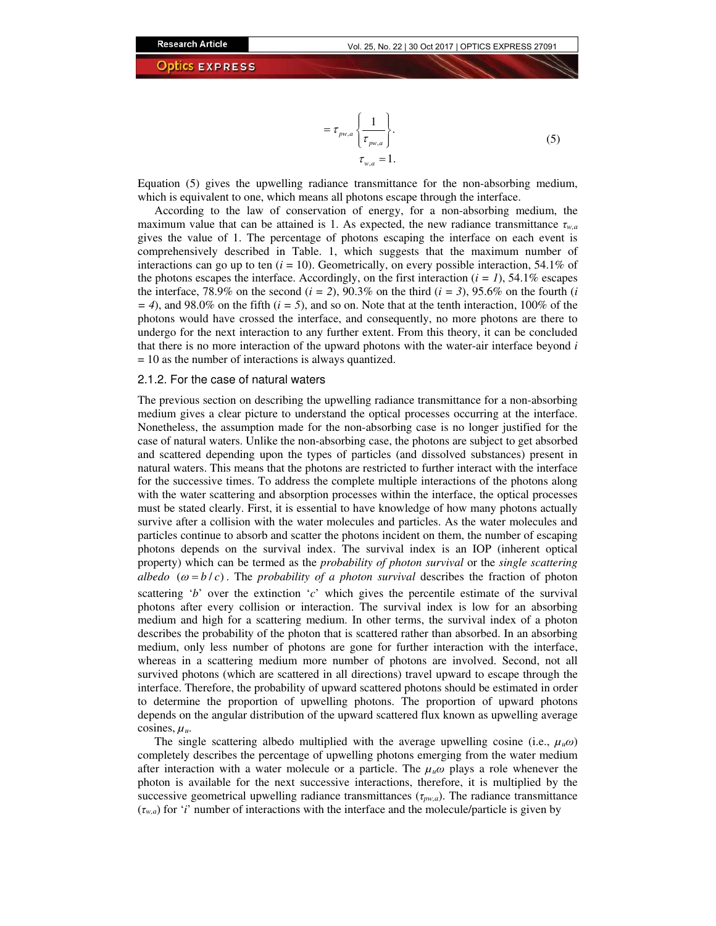$$
= \tau_{p w,a} \left\{ \frac{1}{\tau_{p w,a}} \right\}.
$$
\n
$$
\tau_{w,a} = 1.
$$
\n(5)

Equation (5) gives the upwelling radiance transmittance for the non-absorbing medium, which is equivalent to one, which means all photons escape through the interface.

According to the law of conservation of energy, for a non-absorbing medium, the maximum value that can be attained is 1. As expected, the new radiance transmittance *τw,a* gives the value of 1. The percentage of photons escaping the interface on each event is comprehensively described in Table. 1, which suggests that the maximum number of interactions can go up to ten  $(i = 10)$ . Geometrically, on every possible interaction, 54.1% of the photons escapes the interface. Accordingly, on the first interaction  $(i = 1)$ , 54.1% escapes the interface, 78.9% on the second  $(i = 2)$ , 90.3% on the third  $(i = 3)$ , 95.6% on the fourth *(i*)  $=$  4), and 98.0% on the fifth ( $i = 5$ ), and so on. Note that at the tenth interaction, 100% of the photons would have crossed the interface, and consequently, no more photons are there to undergo for the next interaction to any further extent. From this theory, it can be concluded that there is no more interaction of the upward photons with the water-air interface beyond *i* = 10 as the number of interactions is always quantized.

#### 2.1.2. For the case of natural waters

The previous section on describing the upwelling radiance transmittance for a non-absorbing medium gives a clear picture to understand the optical processes occurring at the interface. Nonetheless, the assumption made for the non-absorbing case is no longer justified for the case of natural waters. Unlike the non-absorbing case, the photons are subject to get absorbed and scattered depending upon the types of particles (and dissolved substances) present in natural waters. This means that the photons are restricted to further interact with the interface for the successive times. To address the complete multiple interactions of the photons along with the water scattering and absorption processes within the interface, the optical processes must be stated clearly. First, it is essential to have knowledge of how many photons actually survive after a collision with the water molecules and particles. As the water molecules and particles continue to absorb and scatter the photons incident on them, the number of escaping photons depends on the survival index. The survival index is an IOP (inherent optical property) which can be termed as the *probability of photon survival* or the *single scattering albedo*  $(\omega = b/c)$ . The *probability of a photon survival* describes the fraction of photon scattering '*b*' over the extinction '*c*' which gives the percentile estimate of the survival photons after every collision or interaction. The survival index is low for an absorbing medium and high for a scattering medium. In other terms, the survival index of a photon describes the probability of the photon that is scattered rather than absorbed. In an absorbing medium, only less number of photons are gone for further interaction with the interface, whereas in a scattering medium more number of photons are involved. Second, not all survived photons (which are scattered in all directions) travel upward to escape through the interface. Therefore, the probability of upward scattered photons should be estimated in order to determine the proportion of upwelling photons. The proportion of upward photons depends on the angular distribution of the upward scattered flux known as upwelling average cosines,  $\mu_u$ .

The single scattering albedo multiplied with the average upwelling cosine (i.e.,  $\mu_u \omega$ ) completely describes the percentage of upwelling photons emerging from the water medium after interaction with a water molecule or a particle. The *µuω* plays a role whenever the photon is available for the next successive interactions, therefore, it is multiplied by the successive geometrical upwelling radiance transmittances (*τpw,a*). The radiance transmittance  $(\tau_{w,a})$  for '*i*' number of interactions with the interface and the molecule/particle is given by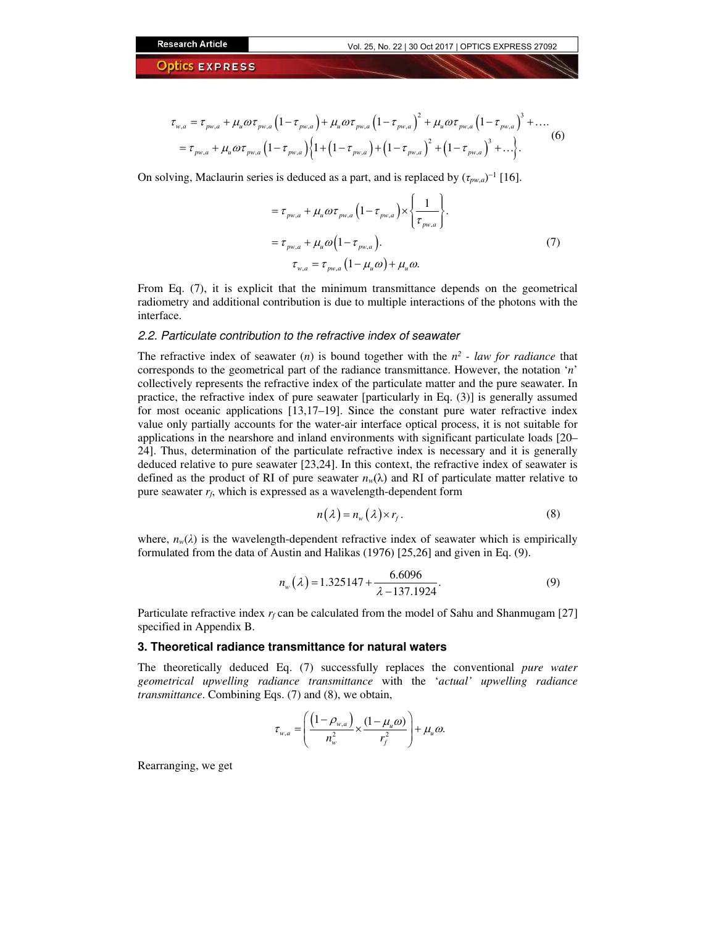$$
\tau_{w,a} = \tau_{p w,a} + \mu_u \omega \tau_{p w,a} \left( 1 - \tau_{p w,a} \right) + \mu_u \omega \tau_{p w,a} \left( 1 - \tau_{p w,a} \right)^2 + \mu_u \omega \tau_{p w,a} \left( 1 - \tau_{p w,a} \right)^3 + \dots
$$
\n
$$
= \tau_{p w,a} + \mu_u \omega \tau_{p w,a} \left( 1 - \tau_{p w,a} \right) \left\{ 1 + \left( 1 - \tau_{p w,a} \right) + \left( 1 - \tau_{p w,a} \right)^2 + \left( 1 - \tau_{p w,a} \right)^3 + \dots \right\}.
$$
\n(6)

On solving, Maclaurin series is deduced as a part, and is replaced by  $(\tau_{pw,a})^{-1}$  [16].

$$
= \tau_{p_{w,a}} + \mu_u \omega \tau_{p_{w,a}} \left( 1 - \tau_{p_{w,a}} \right) \times \left\{ \frac{1}{\tau_{p_{w,a}}} \right\}.
$$
  

$$
= \tau_{p_{w,a}} + \mu_u \omega \left( 1 - \tau_{p_{w,a}} \right).
$$
  

$$
\tau_{w,a} = \tau_{p_{w,a}} \left( 1 - \mu_u \omega \right) + \mu_u \omega.
$$
 (7)

From Eq. (7), it is explicit that the minimum transmittance depends on the geometrical radiometry and additional contribution is due to multiple interactions of the photons with the interface.

#### 2.2. Particulate contribution to the refractive index of seawater

The refractive index of seawater  $(n)$  is bound together with the  $n^2$  - law for radiance that corresponds to the geometrical part of the radiance transmittance. However, the notation '*n*' collectively represents the refractive index of the particulate matter and the pure seawater. In practice, the refractive index of pure seawater [particularly in Eq. (3)] is generally assumed for most oceanic applications [13,17–19]. Since the constant pure water refractive index value only partially accounts for the water-air interface optical process, it is not suitable for applications in the nearshore and inland environments with significant particulate loads [20– 24]. Thus, determination of the particulate refractive index is necessary and it is generally deduced relative to pure seawater [23,24]. In this context, the refractive index of seawater is defined as the product of RI of pure seawater  $n_w(\lambda)$  and RI of particulate matter relative to pure seawater  $r_f$ , which is expressed as a wavelength-dependent form

$$
n(\lambda) = n_w(\lambda) \times r_f. \tag{8}
$$

where,  $n_w(\lambda)$  is the wavelength-dependent refractive index of seawater which is empirically formulated from the data of Austin and Halikas (1976) [25,26] and given in Eq. (9).

$$
n_{w}(\lambda) = 1.325147 + \frac{6.6096}{\lambda - 137.1924}.
$$
 (9)

Particulate refractive index  $r_f$  can be calculated from the model of Sahu and Shanmugam [27] specified in Appendix B.

#### **3. Theoretical radiance transmittance for natural waters**

The theoretically deduced Eq. (7) successfully replaces the conventional *pure water geometrical upwelling radiance transmittance* with the '*actual' upwelling radiance transmittance*. Combining Eqs. (7) and (8), we obtain,

$$
\tau_{w,a} = \left(\frac{\left(1-\rho_{w,a}\right)}{n_w^2} \times \frac{\left(1-\mu_u \omega\right)}{r_f^2}\right) + \mu_u \omega.
$$

Rearranging, we get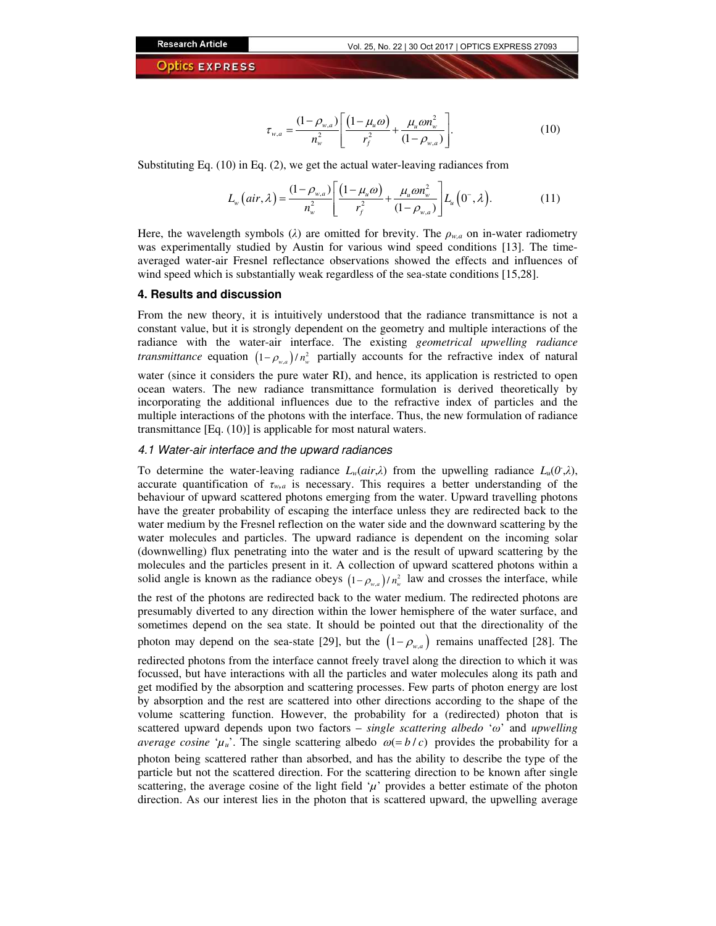$$
\tau_{w,a} = \frac{(1 - \rho_{w,a})}{n_w^2} \left[ \frac{(1 - \mu_u \omega)}{r_f^2} + \frac{\mu_u \omega n_w^2}{(1 - \rho_{w,a})} \right].
$$
\n(10)

Substituting Eq. (10) in Eq. (2), we get the actual water-leaving radiances from

$$
L_{w}(air, \lambda) = \frac{(1 - \rho_{w,a})}{n_{w}^{2}} \left[ \frac{(1 - \mu_{u}\omega)}{r_{f}^{2}} + \frac{\mu_{u}\omega n_{w}^{2}}{(1 - \rho_{w,a})} \right] L_{u}(0^{-}, \lambda).
$$
 (11)

Here, the wavelength symbols ( $\lambda$ ) are omitted for brevity. The  $\rho_{w,a}$  on in-water radiometry was experimentally studied by Austin for various wind speed conditions [13]. The timeaveraged water-air Fresnel reflectance observations showed the effects and influences of wind speed which is substantially weak regardless of the sea-state conditions [15,28].

#### **4. Results and discussion**

From the new theory, it is intuitively understood that the radiance transmittance is not a constant value, but it is strongly dependent on the geometry and multiple interactions of the radiance with the water-air interface. The existing *geometrical upwelling radiance transmittance* equation  $(1 - \rho_{w,a})/n_w^2$  partially accounts for the refractive index of natural water (since it considers the pure water RI), and hence, its application is restricted to open

ocean waters. The new radiance transmittance formulation is derived theoretically by incorporating the additional influences due to the refractive index of particles and the multiple interactions of the photons with the interface. Thus, the new formulation of radiance transmittance [Eq. (10)] is applicable for most natural waters.

## 4.1 Water-air interface and the upward radiances

To determine the water-leaving radiance  $L_w-air, \lambda$  from the upwelling radiance  $L_u(0, \lambda)$ , accurate quantification of  $\tau_{wa}$  is necessary. This requires a better understanding of the behaviour of upward scattered photons emerging from the water. Upward travelling photons have the greater probability of escaping the interface unless they are redirected back to the water medium by the Fresnel reflection on the water side and the downward scattering by the water molecules and particles. The upward radiance is dependent on the incoming solar (downwelling) flux penetrating into the water and is the result of upward scattering by the molecules and the particles present in it. A collection of upward scattered photons within a solid angle is known as the radiance obeys  $(1 - \rho_{w,a})/n_w^2$  law and crosses the interface, while the rest of the photons are redirected back to the water medium. The redirected photons are presumably diverted to any direction within the lower hemisphere of the water surface, and sometimes depend on the sea state. It should be pointed out that the directionality of the photon may depend on the sea-state [29], but the  $(1-\rho_{w,a})$  remains unaffected [28]. The

redirected photons from the interface cannot freely travel along the direction to which it was focussed, but have interactions with all the particles and water molecules along its path and get modified by the absorption and scattering processes. Few parts of photon energy are lost by absorption and the rest are scattered into other directions according to the shape of the volume scattering function. However, the probability for a (redirected) photon that is scattered upward depends upon two factors – *single scattering albedo* '*ω*' and *upwelling average cosine* ' $\mu$ <sup>'</sup>*u*<sup>'</sup>. The single scattering albedo  $\omega$ (= *b* / *c*) provides the probability for a photon being scattered rather than absorbed, and has the ability to describe the type of the particle but not the scattered direction. For the scattering direction to be known after single scattering, the average cosine of the light field  $\mu$ <sup>'</sup> provides a better estimate of the photon direction. As our interest lies in the photon that is scattered upward, the upwelling average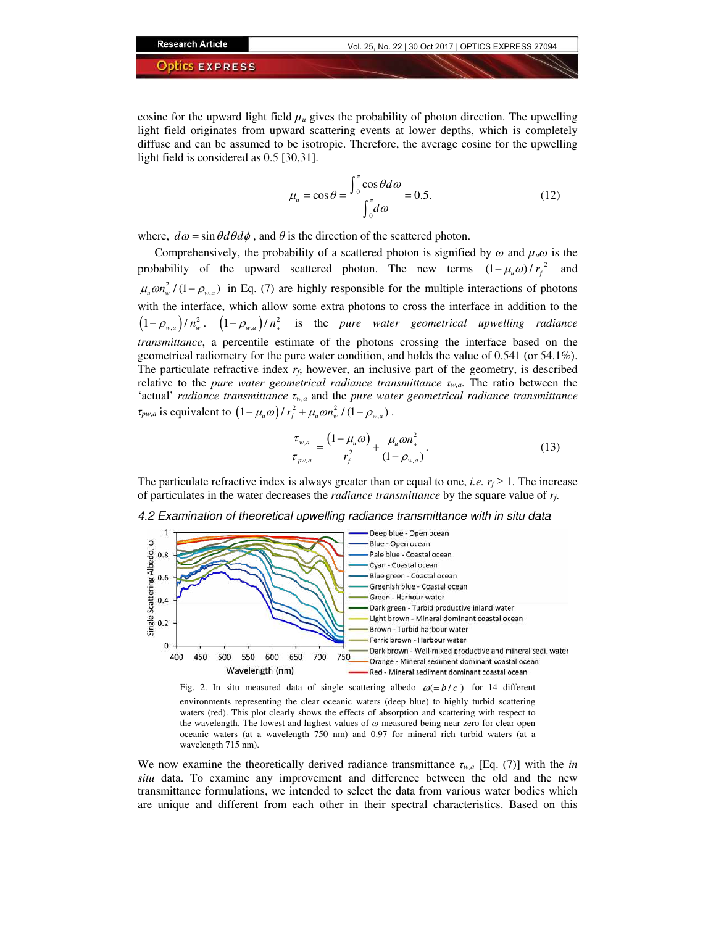cosine for the upward light field  $\mu$ <sub>*u*</sub> gives the probability of photon direction. The upwelling light field originates from upward scattering events at lower depths, which is completely diffuse and can be assumed to be isotropic. Therefore, the average cosine for the upwelling light field is considered as 0.5 [30,31].

$$
\mu_u = \overline{\cos \theta} = \frac{\int_0^{\pi} \cos \theta d\omega}{\int_0^{\pi} d\omega} = 0.5.
$$
 (12)

where,  $d\omega = \sin \theta d\theta d\phi$ , and  $\theta$  is the direction of the scattered photon.

Comprehensively, the probability of a scattered photon is signified by  $\omega$  and  $\mu_u \omega$  is the probability of the upward scattered photon. The new terms  $(1 - \mu_u \omega) / r_f^2$  and  $\mu_u \omega n_w^2 / (1 - \rho_{w,a})$  in Eq. (7) are highly responsible for the multiple interactions of photons with the interface, which allow some extra photons to cross the interface in addition to the  $(1-\rho_{w,a})/n_w^2$ .  $(1-\rho_{w,a})/n_w^2$  is the *pure water geometrical upwelling radiance transmittance*, a percentile estimate of the photons crossing the interface based on the geometrical radiometry for the pure water condition, and holds the value of 0.541 (or 54.1%). The particulate refractive index  $r_f$ , however, an inclusive part of the geometry, is described relative to the *pure water geometrical radiance transmittance τw,a*. The ratio between the 'actual' *radiance transmittance τw,a* and the *pure water geometrical radiance transmittance τ*<sub>*pw,a*</sub> is equivalent to  $(1 - \mu_u \omega) / r_f^2 + \mu_u \omega n_w^2 / (1 - \rho_{w,a})$ .

$$
\frac{\tau_{w,a}}{\tau_{p w,a}} = \frac{(1 - \mu_u \omega)}{r_f^2} + \frac{\mu_u \omega n_w^2}{(1 - \rho_{w,a})}.
$$
\n(13)

The particulate refractive index is always greater than or equal to one, *i.e.*  $r_f \geq 1$ . The increase of particulates in the water decreases the *radiance transmittance* by the square value of *rf*.





Fig. 2. In situ measured data of single scattering albedo  $\omega = b/c$  for 14 different environments representing the clear oceanic waters (deep blue) to highly turbid scattering waters (red). This plot clearly shows the effects of absorption and scattering with respect to the wavelength. The lowest and highest values of *ω* measured being near zero for clear open oceanic waters (at a wavelength 750 nm) and 0.97 for mineral rich turbid waters (at a wavelength 715 nm).

We now examine the theoretically derived radiance transmittance  $\tau_{w,a}$  [Eq. (7)] with the *in situ* data. To examine any improvement and difference between the old and the new transmittance formulations, we intended to select the data from various water bodies which are unique and different from each other in their spectral characteristics. Based on this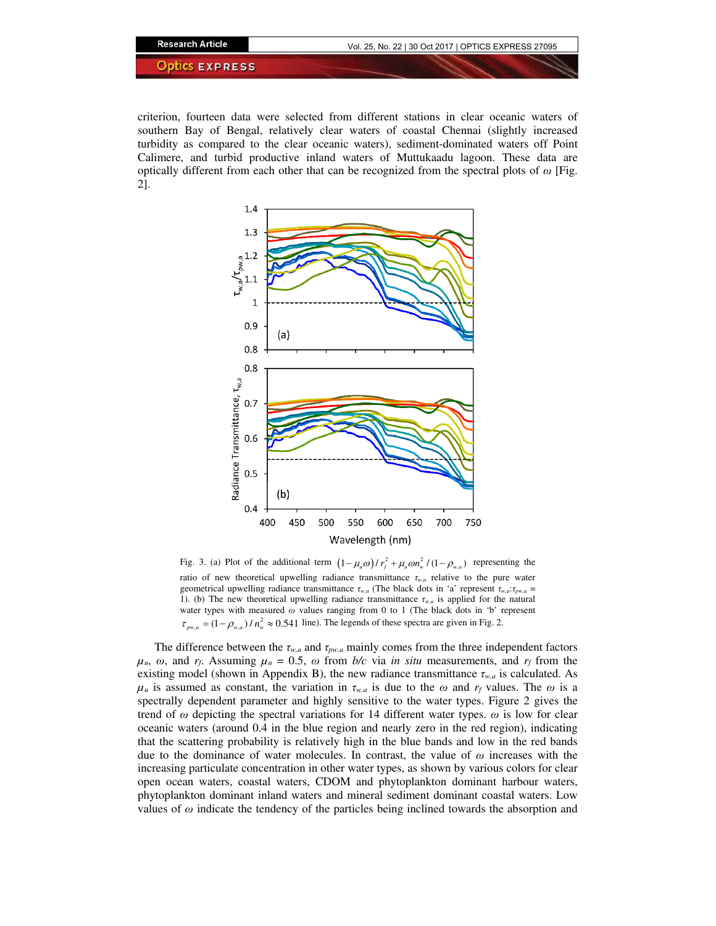criterion, fourteen data were selected from different stations in clear oceanic waters of southern Bay of Bengal, relatively clear waters of coastal Chennai (slightly increased turbidity as compared to the clear oceanic waters), sediment-dominated waters off Point Calimere, and turbid productive inland waters of Muttukaadu lagoon. These data are optically different from each other that can be recognized from the spectral plots of *ω* [Fig. 2].



Fig. 3. (a) Plot of the additional term  $(1 - \mu_u \omega) / r_f^2 + \mu_u \omega n_w^2 / (1 - \rho_{w,a})$  representing the ratio of new theoretical upwelling radiance transmittance *τw,a* relative to the pure water geometrical upwelling radiance transmittance *τw,a* (The black dots in 'a' represent *τw,a*:*τpw,a* = 1). (b) The new theoretical upwelling radiance transmittance  $\tau_{w,a}$  is applied for the natural water types with measured *ω* values ranging from 0 to 1 (The black dots in 'b' represent  $\tau_{p_{w,a}} = (1 - \rho_{w,a}) / n_w^2 \approx 0.541$  line). The legends of these spectra are given in Fig. 2.

The difference between the  $\tau_{w,a}$  and  $\tau_{pw,a}$  mainly comes from the three independent factors  $\mu_u$ ,  $\omega$ , and  $r_f$ . Assuming  $\mu_u = 0.5$ ,  $\omega$  from *b/c* via *in situ* measurements, and  $r_f$  from the existing model (shown in Appendix B), the new radiance transmittance *τw,a* is calculated. As  $\mu_u$  is assumed as constant, the variation in  $\tau_{w,a}$  is due to the  $\omega$  and  $r_f$  values. The  $\omega$  is a spectrally dependent parameter and highly sensitive to the water types. Figure 2 gives the trend of *ω* depicting the spectral variations for 14 different water types. *ω* is low for clear oceanic waters (around 0.4 in the blue region and nearly zero in the red region), indicating that the scattering probability is relatively high in the blue bands and low in the red bands due to the dominance of water molecules. In contrast, the value of *ω* increases with the increasing particulate concentration in other water types, as shown by various colors for clear open ocean waters, coastal waters, CDOM and phytoplankton dominant harbour waters, phytoplankton dominant inland waters and mineral sediment dominant coastal waters. Low values of *ω* indicate the tendency of the particles being inclined towards the absorption and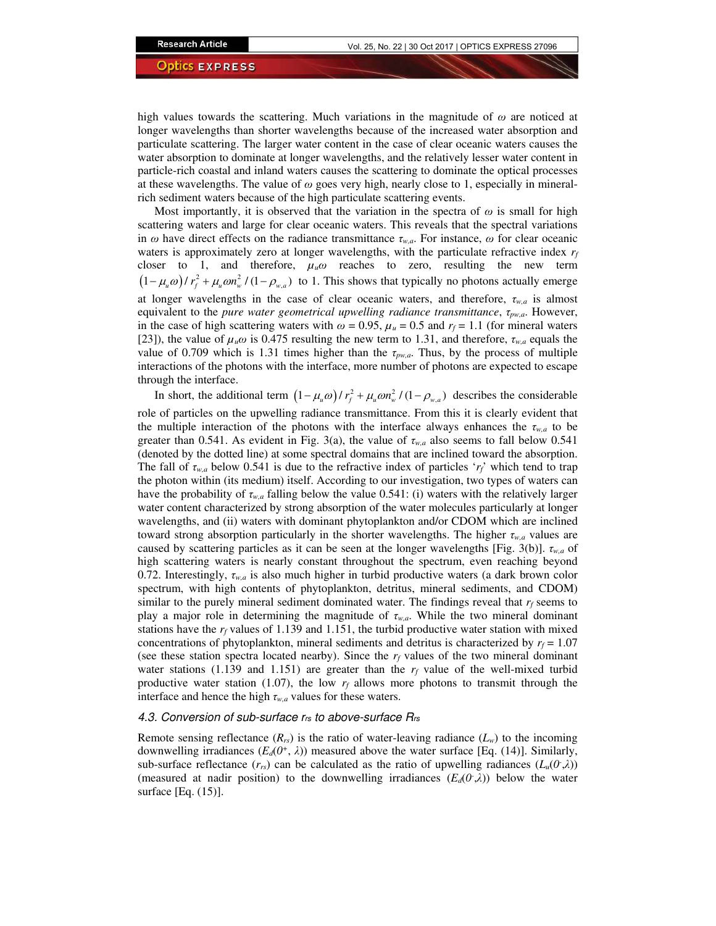high values towards the scattering. Much variations in the magnitude of  $\omega$  are noticed at longer wavelengths than shorter wavelengths because of the increased water absorption and particulate scattering. The larger water content in the case of clear oceanic waters causes the water absorption to dominate at longer wavelengths, and the relatively lesser water content in particle-rich coastal and inland waters causes the scattering to dominate the optical processes at these wavelengths. The value of *ω* goes very high, nearly close to 1, especially in mineralrich sediment waters because of the high particulate scattering events.

Most importantly, it is observed that the variation in the spectra of  $\omega$  is small for high scattering waters and large for clear oceanic waters. This reveals that the spectral variations in *ω* have direct effects on the radiance transmittance *τw,a*. For instance, *ω* for clear oceanic waters is approximately zero at longer wavelengths, with the particulate refractive index  $r_f$ closer to 1, and therefore,  $\mu_u \omega$  reaches to zero, resulting the new term  $(1 - \mu_u \omega) / r_f^2 + \mu_u \omega n_w^2 / (1 - \rho_{w,a})$  to 1. This shows that typically no photons actually emerge at longer wavelengths in the case of clear oceanic waters, and therefore, *τw,a* is almost equivalent to the *pure water geometrical upwelling radiance transmittance*, *τpw,a*. However, in the case of high scattering waters with  $\omega = 0.95$ ,  $\mu_u = 0.5$  and  $r_f = 1.1$  (for mineral waters [23]), the value of  $\mu_u \omega$  is 0.475 resulting the new term to 1.31, and therefore,  $\tau_{w,a}$  equals the value of 0.709 which is 1.31 times higher than the *τpw,a*. Thus, by the process of multiple interactions of the photons with the interface, more number of photons are expected to escape through the interface.

In short, the additional term  $(1 - \mu_u \omega) / r_f^2 + \mu_u \omega n_w^2 / (1 - \rho_{w,a})$  describes the considerable role of particles on the upwelling radiance transmittance. From this it is clearly evident that the multiple interaction of the photons with the interface always enhances the  $\tau_{w,a}$  to be greater than 0.541. As evident in Fig. 3(a), the value of *τw,a* also seems to fall below 0.541 (denoted by the dotted line) at some spectral domains that are inclined toward the absorption. The fall of *τw,a* below 0.541 is due to the refractive index of particles '*rf*' which tend to trap the photon within (its medium) itself. According to our investigation, two types of waters can have the probability of *τw,a* falling below the value 0.541: (i) waters with the relatively larger water content characterized by strong absorption of the water molecules particularly at longer wavelengths, and (ii) waters with dominant phytoplankton and/or CDOM which are inclined toward strong absorption particularly in the shorter wavelengths. The higher *τw,a* values are caused by scattering particles as it can be seen at the longer wavelengths [Fig. 3(b)]. *τw,a* of high scattering waters is nearly constant throughout the spectrum, even reaching beyond 0.72. Interestingly,  $\tau_{w,a}$  is also much higher in turbid productive waters (a dark brown color spectrum, with high contents of phytoplankton, detritus, mineral sediments, and CDOM) similar to the purely mineral sediment dominated water. The findings reveal that  $r_f$  seems to play a major role in determining the magnitude of *τw,a*. While the two mineral dominant stations have the  $r_f$  values of 1.139 and 1.151, the turbid productive water station with mixed concentrations of phytoplankton, mineral sediments and detritus is characterized by  $r_f = 1.07$ (see these station spectra located nearby). Since the  $r_f$  values of the two mineral dominant water stations (1.139 and 1.151) are greater than the  $r_f$  value of the well-mixed turbid productive water station (1.07), the low  $r_f$  allows more photons to transmit through the interface and hence the high  $\tau_{w,a}$  values for these waters.

## 4.3. Conversion of sub-surface  $r_{rs}$  to above-surface  $R_{rs}$

Remote sensing reflectance  $(R_{rs})$  is the ratio of water-leaving radiance  $(L_w)$  to the incoming downwelling irradiances  $(E_d(0^+, \lambda))$  measured above the water surface [Eq. (14)]. Similarly, sub-surface reflectance  $(r_{rs})$  can be calculated as the ratio of upwelling radiances  $(L_u(0,\lambda))$ (measured at nadir position) to the downwelling irradiances  $(E_d(0,\lambda))$  below the water surface [Eq. (15)].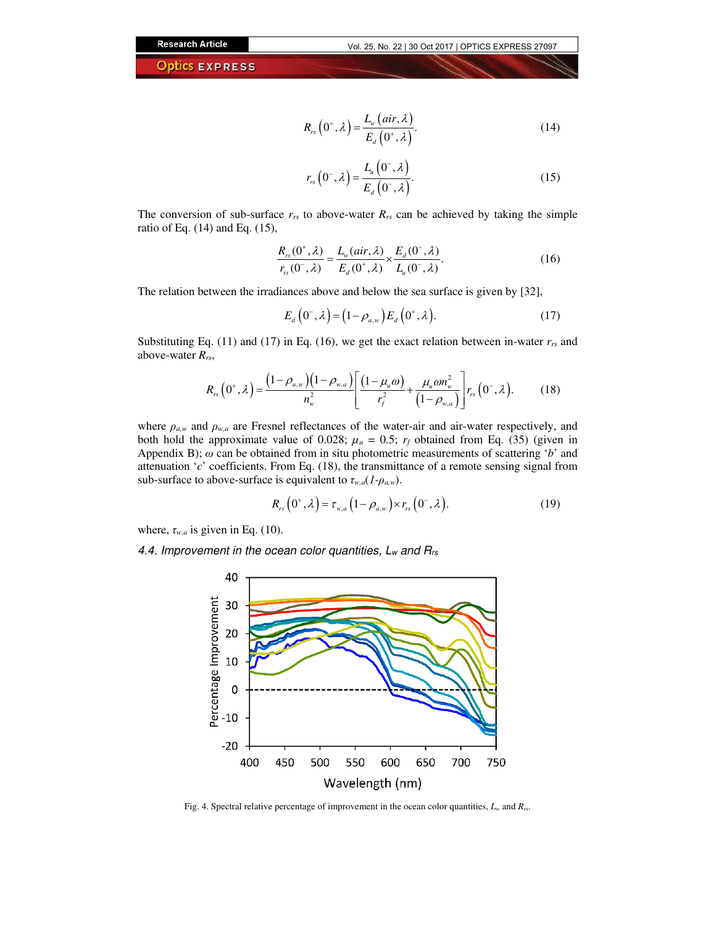$$
R_{rs}\left(0^{+},\lambda\right)=\frac{L_{w}\left(air,\lambda\right)}{E_{d}\left(0^{+},\lambda\right)}.\tag{14}
$$

$$
r_{rs}\left(0^{-},\lambda\right)=\frac{L_{u}\left(0^{-},\lambda\right)}{E_{d}\left(0^{-},\lambda\right)}.\tag{15}
$$

The conversion of sub-surface  $r_{rs}$  to above-water  $R_{rs}$  can be achieved by taking the simple ratio of Eq. (14) and Eq. (15),

$$
\frac{R_{rs}(0^+,\lambda)}{r_{rs}(0^-,\lambda)} = \frac{L_w(air,\lambda)}{E_d(0^+,\lambda)} \times \frac{E_d(0^-,\lambda)}{L_u(0^-,\lambda)}.
$$
\n(16)

The relation between the irradiances above and below the sea surface is given by [32],

$$
E_d\left(0^-, \lambda\right) = \left(1 - \rho_{a,w}\right) E_d\left(0^+, \lambda\right). \tag{17}
$$

Substituting Eq. (11) and (17) in Eq. (16), we get the exact relation between in-water  $r_{rs}$  and above-water *Rrs*,

$$
R_{rs}\left(0^{+},\lambda\right)=\frac{\left(1-\rho_{a,w}\right)\left(1-\rho_{w,a}\right)}{n_{w}^{2}}\left[\frac{\left(1-\mu_{u}\omega\right)}{r_{f}^{2}}+\frac{\mu_{u}\omega n_{w}^{2}}{\left(1-\rho_{w,a}\right)}\right]r_{rs}\left(0^{-},\lambda\right).
$$
 (18)

where  $\rho_{a,w}$  and  $\rho_{w,a}$  are Fresnel reflectances of the water-air and air-water respectively, and both hold the approximate value of 0.028;  $\mu_u = 0.5$ ;  $r_f$  obtained from Eq. (35) (given in Appendix B); *ω* can be obtained from in situ photometric measurements of scattering '*b*' and attenuation '*c*' coefficients. From Eq. (18), the transmittance of a remote sensing signal from sub-surface to above-surface is equivalent to  $\tau_{w,a}(1-\rho_{a,w})$ .

$$
R_{rs}\left(0^{+},\lambda\right)=\tau_{w,a}\left(1-\rho_{a,w}\right)\times r_{rs}\left(0^{-},\lambda\right).
$$
 (19)

where,  $\tau_{w,a}$  is given in Eq. (10).

4.4. Improvement in the ocean color quantities,  $L_w$  and  $R_{rs}$ 



Fig. 4. Spectral relative percentage of improvement in the ocean color quantities, *L<sup>w</sup>* and *Rrs*.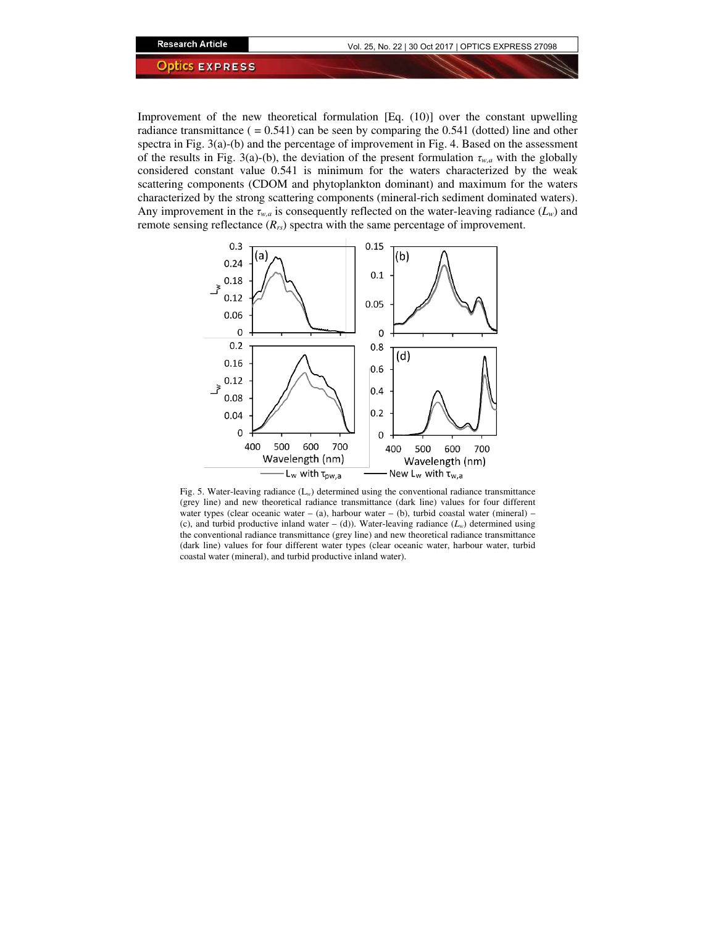Improvement of the new theoretical formulation [Eq. (10)] over the constant upwelling radiance transmittance  $( = 0.541)$  can be seen by comparing the 0.541 (dotted) line and other spectra in Fig. 3(a)-(b) and the percentage of improvement in Fig. 4. Based on the assessment of the results in Fig. 3(a)-(b), the deviation of the present formulation *τw,a* with the globally considered constant value 0.541 is minimum for the waters characterized by the weak scattering components (CDOM and phytoplankton dominant) and maximum for the waters characterized by the strong scattering components (mineral-rich sediment dominated waters). Any improvement in the  $\tau_{w,a}$  is consequently reflected on the water-leaving radiance  $(L_w)$  and remote sensing reflectance (*Rrs*) spectra with the same percentage of improvement.



Fig. 5. Water-leaving radiance (L*w*) determined using the conventional radiance transmittance (grey line) and new theoretical radiance transmittance (dark line) values for four different water types (clear oceanic water – (a), harbour water – (b), turbid coastal water (mineral) – (c), and turbid productive inland water – (d)). Water-leaving radiance  $(L_w)$  determined using the conventional radiance transmittance (grey line) and new theoretical radiance transmittance (dark line) values for four different water types (clear oceanic water, harbour water, turbid coastal water (mineral), and turbid productive inland water).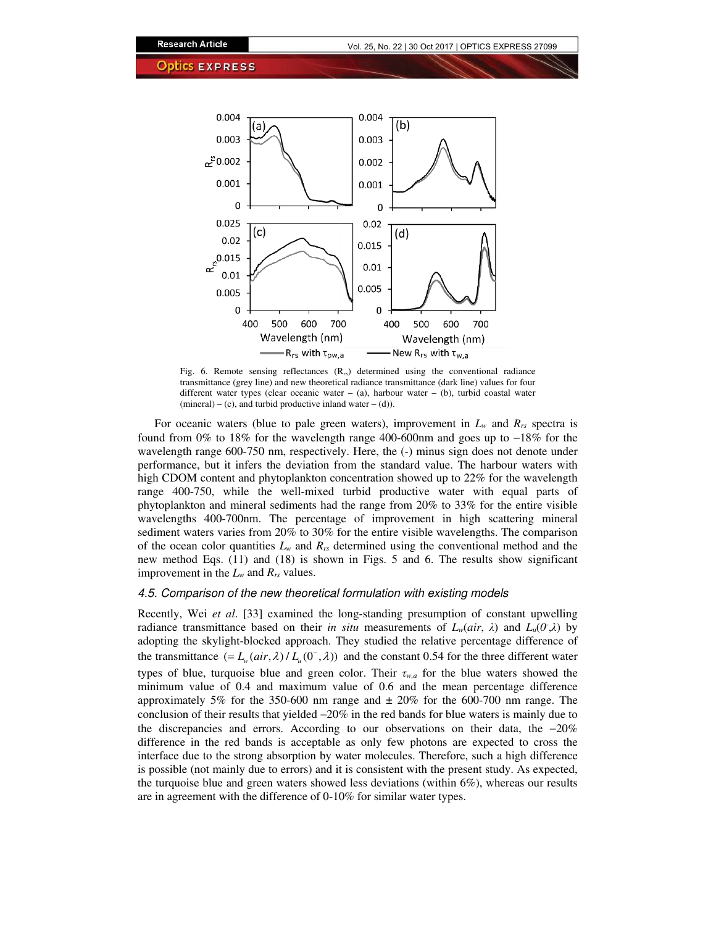

Fig. 6. Remote sensing reflectances (R*rs*) determined using the conventional radiance transmittance (grey line) and new theoretical radiance transmittance (dark line) values for four different water types (clear oceanic water – (a), harbour water – (b), turbid coastal water  $(mineral) – (c)$ , and turbid productive inland water  $– (d)$ ).

For oceanic waters (blue to pale green waters), improvement in  $L_w$  and  $R_{rs}$  spectra is found from 0% to 18% for the wavelength range 400-600nm and goes up to −18% for the wavelength range 600-750 nm, respectively. Here, the  $(-)$  minus sign does not denote under performance, but it infers the deviation from the standard value. The harbour waters with high CDOM content and phytoplankton concentration showed up to 22% for the wavelength range 400-750, while the well-mixed turbid productive water with equal parts of phytoplankton and mineral sediments had the range from 20% to 33% for the entire visible wavelengths 400-700nm. The percentage of improvement in high scattering mineral sediment waters varies from 20% to 30% for the entire visible wavelengths. The comparison of the ocean color quantities  $L_w$  and  $R_{rs}$  determined using the conventional method and the new method Eqs. (11) and (18) is shown in Figs. 5 and 6. The results show significant improvement in the  $L_w$  and  $R_{rs}$  values.

## 4.5. Comparison of the new theoretical formulation with existing models

Recently, Wei *et al*. [33] examined the long-standing presumption of constant upwelling radiance transmittance based on their *in situ* measurements of  $L_w-air, \lambda$  and  $L_u(0,\lambda)$  by adopting the skylight-blocked approach. They studied the relative percentage difference of the transmittance  $(= L_w(air, \lambda) / L_u(0^-, \lambda))$  and the constant 0.54 for the three different water types of blue, turquoise blue and green color. Their *τw,a* for the blue waters showed the minimum value of 0.4 and maximum value of 0.6 and the mean percentage difference approximately 5% for the 350-600 nm range and  $\pm$  20% for the 600-700 nm range. The conclusion of their results that yielded −20% in the red bands for blue waters is mainly due to the discrepancies and errors. According to our observations on their data, the −20% difference in the red bands is acceptable as only few photons are expected to cross the interface due to the strong absorption by water molecules. Therefore, such a high difference is possible (not mainly due to errors) and it is consistent with the present study. As expected, the turquoise blue and green waters showed less deviations (within  $6\%$ ), whereas our results are in agreement with the difference of 0-10% for similar water types.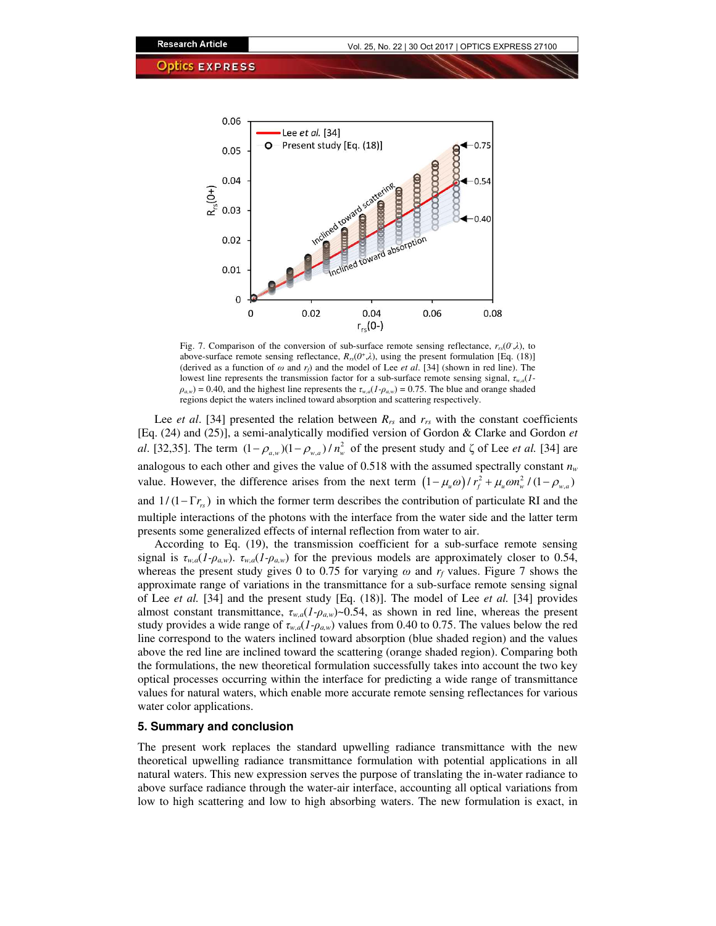

Fig. 7. Comparison of the conversion of sub-surface remote sensing reflectance,  $r_{rs}(0,\lambda)$ , to above-surface remote sensing reflectance,  $R_{rs}(0^+,\lambda)$ , using the present formulation [Eq. (18)] (derived as a function of  $\omega$  and  $r_f$ ) and the model of Lee *et al.* [34] (shown in red line). The lowest line represents the transmission factor for a sub-surface remote sensing signal, *τw,a*(*1-*  $\rho_{a,w}$ ) = 0.40, and the highest line represents the  $\tau_{w,a}(1-\rho_{a,w})$  = 0.75. The blue and orange shaded regions depict the waters inclined toward absorption and scattering respectively.

Lee *et al.* [34] presented the relation between  $R_{rs}$  and  $r_{rs}$  with the constant coefficients [Eq. (24) and (25)], a semi-analytically modified version of Gordon & Clarke and Gordon *et al*. [32,35]. The term  $(1 - \rho_{a,w})(1 - \rho_{w,a})/n_w^2$  of the present study and  $\zeta$  of Lee *et al.* [34] are analogous to each other and gives the value of 0.518 with the assumed spectrally constant *n<sup>w</sup>* value. However, the difference arises from the next term  $(1 - \mu_u \omega) / r_f^2 + \mu_u \omega n_w^2 / (1 - \rho_{w,a})$ and  $1/(1 - \Gamma r_{rs})$  in which the former term describes the contribution of particulate RI and the multiple interactions of the photons with the interface from the water side and the latter term presents some generalized effects of internal reflection from water to air.

According to Eq. (19), the transmission coefficient for a sub-surface remote sensing signal is  $\tau_{w,a}(I-\rho_{aw})$ .  $\tau_{w,a}(I-\rho_{aw})$  for the previous models are approximately closer to 0.54, whereas the present study gives 0 to 0.75 for varying  $\omega$  and  $r_f$  values. Figure 7 shows the approximate range of variations in the transmittance for a sub-surface remote sensing signal of Lee *et al.* [34] and the present study [Eq. (18)]. The model of Lee *et al.* [34] provides almost constant transmittance, *τw,a*(*1-ρa,w*)~0.54, as shown in red line, whereas the present study provides a wide range of *τw,a*(*1-ρa,w*) values from 0.40 to 0.75. The values below the red line correspond to the waters inclined toward absorption (blue shaded region) and the values above the red line are inclined toward the scattering (orange shaded region). Comparing both the formulations, the new theoretical formulation successfully takes into account the two key optical processes occurring within the interface for predicting a wide range of transmittance values for natural waters, which enable more accurate remote sensing reflectances for various water color applications.

# **5. Summary and conclusion**

The present work replaces the standard upwelling radiance transmittance with the new theoretical upwelling radiance transmittance formulation with potential applications in all natural waters. This new expression serves the purpose of translating the in-water radiance to above surface radiance through the water-air interface, accounting all optical variations from low to high scattering and low to high absorbing waters. The new formulation is exact, in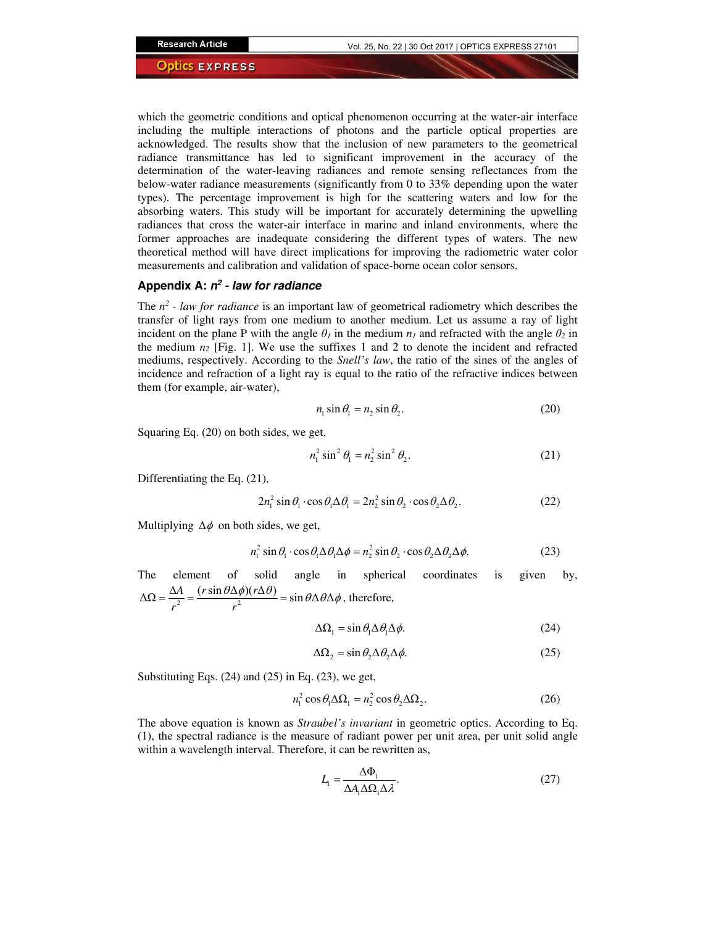which the geometric conditions and optical phenomenon occurring at the water-air interface including the multiple interactions of photons and the particle optical properties are acknowledged. The results show that the inclusion of new parameters to the geometrical radiance transmittance has led to significant improvement in the accuracy of the determination of the water-leaving radiances and remote sensing reflectances from the below-water radiance measurements (significantly from 0 to 33% depending upon the water types). The percentage improvement is high for the scattering waters and low for the absorbing waters. This study will be important for accurately determining the upwelling radiances that cross the water-air interface in marine and inland environments, where the former approaches are inadequate considering the different types of waters. The new theoretical method will have direct implications for improving the radiometric water color measurements and calibration and validation of space-borne ocean color sensors.

## **Appendix A: n 2 - law for radiance**

The  $n^2$  - law for radiance is an important law of geometrical radiometry which describes the transfer of light rays from one medium to another medium. Let us assume a ray of light incident on the plane P with the angle  $\theta_l$  in the medium  $n_l$  and refracted with the angle  $\theta_2$  in the medium  $n_2$  [Fig. 1]. We use the suffixes 1 and 2 to denote the incident and refracted mediums, respectively. According to the *Snell's law*, the ratio of the sines of the angles of incidence and refraction of a light ray is equal to the ratio of the refractive indices between them (for example, air-water),

$$
n_1 \sin \theta_1 = n_2 \sin \theta_2. \tag{20}
$$

Squaring Eq. (20) on both sides, we get,

$$
n_1^2 \sin^2 \theta_1 = n_2^2 \sin^2 \theta_2. \tag{21}
$$

Differentiating the Eq. (21),

$$
2n_1^2 \sin \theta_1 \cdot \cos \theta_1 \Delta \theta_1 = 2n_2^2 \sin \theta_2 \cdot \cos \theta_2 \Delta \theta_2. \tag{22}
$$

Multiplying  $\Delta \phi$  on both sides, we get,

$$
n_1^2 \sin \theta_1 \cdot \cos \theta_1 \Delta \theta_1 \Delta \phi = n_2^2 \sin \theta_2 \cdot \cos \theta_2 \Delta \theta_2 \Delta \phi. \tag{23}
$$

The element of solid angle in spherical coordinates is given by,  $\Delta \Omega = \frac{\Delta A}{r^2} = \frac{(r \sin \theta \Delta \phi)(r \Delta \theta)}{r^2} = \sin \theta \Delta \theta \Delta$  $=\frac{\Delta A}{r^2}=\frac{(r\sin\theta\Delta\phi)(r\Delta\theta)}{r^2}=\sin\theta\Delta\theta\Delta\phi$ , therefore,

$$
\Delta\Omega_1 = \sin\theta_1 \Delta\theta_1 \Delta\phi. \tag{24}
$$

$$
\Delta\Omega_2 = \sin\theta_2 \Delta\theta_2 \Delta\phi. \tag{25}
$$

Substituting Eqs. (24) and (25) in Eq. (23), we get,

$$
n_1^2 \cos \theta_1 \Delta \Omega_1 = n_2^2 \cos \theta_2 \Delta \Omega_2. \tag{26}
$$

The above equation is known as *Straubel's invariant* in geometric optics. According to Eq. (1), the spectral radiance is the measure of radiant power per unit area, per unit solid angle within a wavelength interval. Therefore, it can be rewritten as,

$$
L_1 = \frac{\Delta \Phi_1}{\Delta A_1 \Delta \Omega_1 \Delta \lambda}.
$$
 (27)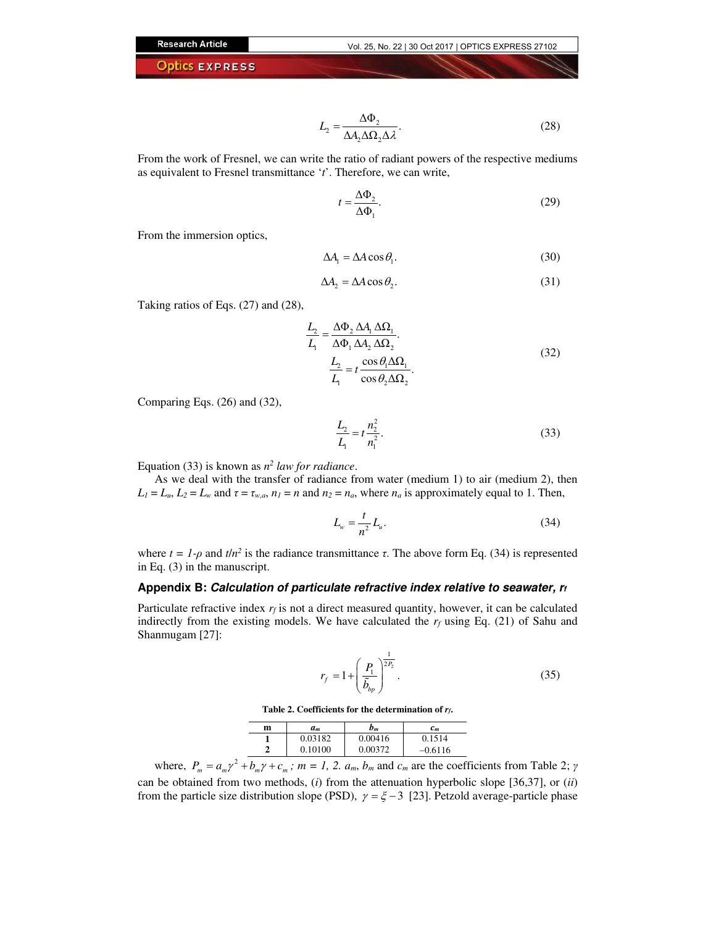$$
L_2 = \frac{\Delta \Phi_2}{\Delta A_2 \Delta \Omega_2 \Delta \lambda}.
$$
 (28)

From the work of Fresnel, we can write the ratio of radiant powers of the respective mediums as equivalent to Fresnel transmittance '*t*'. Therefore, we can write,

$$
t = \frac{\Delta \Phi_2}{\Delta \Phi_1}.\tag{29}
$$

From the immersion optics,

$$
\Delta A_{\rm l} = \Delta A \cos \theta_{\rm l}.\tag{30}
$$

$$
\Delta A_2 = \Delta A \cos \theta_2. \tag{31}
$$

Taking ratios of Eqs. (27) and (28),

$$
\frac{L_2}{L_1} = \frac{\Delta \Phi_2 \, \Delta A_1 \, \Delta \Omega_1}{\Delta \Phi_1 \, \Delta A_2 \, \Delta \Omega_2}.
$$
\n
$$
\frac{L_2}{L_1} = t \frac{\cos \theta_1 \Delta \Omega_1}{\cos \theta_2 \Delta \Omega_2}.
$$
\n(32)

Comparing Eqs. (26) and (32),

$$
\frac{L_2}{L_1} = t \frac{n_2^2}{n_1^2}.
$$
\n(33)

Equation (33) is known as  $n^2$  *law for radiance*.

As we deal with the transfer of radiance from water (medium 1) to air (medium 2), then  $L_1 = L_u$ ,  $L_2 = L_w$  and  $\tau = \tau_{w,a}$ ,  $n_1 = n$  and  $n_2 = n_a$ , where  $n_a$  is approximately equal to 1. Then,

$$
L_w = \frac{t}{n^2} L_u.
$$
\n(34)

where  $t = 1$ - $\rho$  and  $t/n^2$  is the radiance transmittance  $\tau$ . The above form Eq. (34) is represented in Eq. (3) in the manuscript.

# **Appendix B: Calculation of particulate refractive index relative to seawater, r<sup>f</sup>**

Particulate refractive index  $r_f$  is not a direct measured quantity, however, it can be calculated indirectly from the existing models. We have calculated the  $r_f$  using Eq. (21) of Sahu and Shanmugam [27]:

$$
r_f = 1 + \left(\frac{P_1}{\tilde{b}_{bp}}\right)^{\frac{1}{2P_2}}.\tag{35}
$$

**Table 2. Coefficients for the determination of** *rf***.** 

| m | $a_m$   | b <sub>m</sub> | $c_m$     |
|---|---------|----------------|-----------|
|   | 0.03182 | 0.00416        | 0.1514    |
|   | 0.10100 | 0.00372        | $-0.6116$ |

where,  $P_m = a_m \gamma^2 + b_m \gamma + c_m$ ;  $m = 1, 2, a_m, b_m$  and  $c_m$  are the coefficients from Table 2;  $\gamma$ can be obtained from two methods, (*i*) from the attenuation hyperbolic slope [36,37], or (*ii*) from the particle size distribution slope (PSD),  $\gamma = \xi - 3$  [23]. Petzold average-particle phase